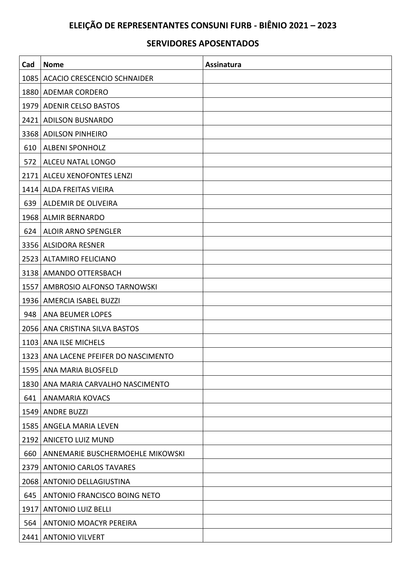## ELEIÇÃO DE REPRESENTANTES CONSUNI FURB - BIÊNIO 2021 - 2023

## **SERVIDORES APOSENTADOS**

| Cad  | <b>Nome</b>                        | <b>Assinatura</b> |
|------|------------------------------------|-------------------|
| 1085 | <b>ACACIO CRESCENCIO SCHNAIDER</b> |                   |
| 1880 | <b>ADEMAR CORDERO</b>              |                   |
|      | 1979   ADENIR CELSO BASTOS         |                   |
| 2421 | <b>ADILSON BUSNARDO</b>            |                   |
|      | 3368 ADILSON PINHEIRO              |                   |
| 610  | <b>ALBENI SPONHOLZ</b>             |                   |
| 572  | ALCEU NATAL LONGO                  |                   |
| 2171 | <b>ALCEU XENOFONTES LENZI</b>      |                   |
| 1414 | <b>ALDA FREITAS VIEIRA</b>         |                   |
| 639  | <b>ALDEMIR DE OLIVEIRA</b>         |                   |
| 1968 | ALMIR BERNARDO                     |                   |
| 624  | <b>ALOIR ARNO SPENGLER</b>         |                   |
| 3356 | <b>ALSIDORA RESNER</b>             |                   |
| 2523 | <b>ALTAMIRO FELICIANO</b>          |                   |
| 3138 | AMANDO OTTERSBACH                  |                   |
| 1557 | AMBROSIO ALFONSO TARNOWSKI         |                   |
| 1936 | AMERCIA ISABEL BUZZI               |                   |
| 948  | <b>ANA BEUMER LOPES</b>            |                   |
| 2056 | <b>ANA CRISTINA SILVA BASTOS</b>   |                   |
| 1103 | <b>ANA ILSE MICHELS</b>            |                   |
| 1323 | ANA LACENE PFEIFER DO NASCIMENTO   |                   |
| 1595 | ANA MARIA BLOSFELD                 |                   |
| 1830 | ANA MARIA CARVALHO NASCIMENTO      |                   |
| 641  | <b>ANAMARIA KOVACS</b>             |                   |
| 1549 | <b>ANDRE BUZZI</b>                 |                   |
| 1585 | <b>ANGELA MARIA LEVEN</b>          |                   |
| 2192 | <b>ANICETO LUIZ MUND</b>           |                   |
| 660  | ANNEMARIE BUSCHERMOEHLE MIKOWSKI   |                   |
| 2379 | <b>ANTONIO CARLOS TAVARES</b>      |                   |
| 2068 | ANTONIO DELLAGIUSTINA              |                   |
| 645  | ANTONIO FRANCISCO BOING NETO       |                   |
| 1917 | <b>ANTONIO LUIZ BELLI</b>          |                   |
| 564  | <b>ANTONIO MOACYR PEREIRA</b>      |                   |
| 2441 | <b>ANTONIO VILVERT</b>             |                   |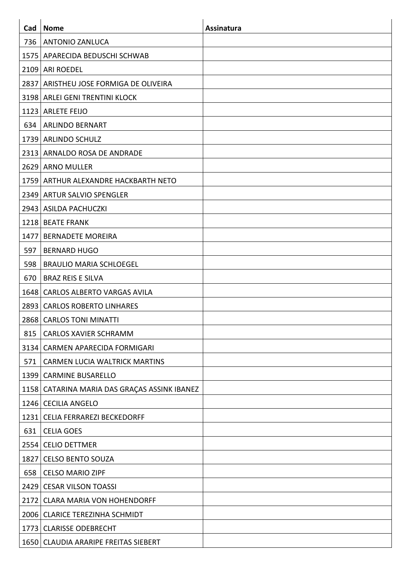| Cad  | <b>Nome</b>                                    | <b>Assinatura</b> |
|------|------------------------------------------------|-------------------|
| 736  | <b>ANTONIO ZANLUCA</b>                         |                   |
| 1575 | <b>APARECIDA BEDUSCHI SCHWAB</b>               |                   |
|      | 2109   ARI ROEDEL                              |                   |
| 2837 | ARISTHEU JOSE FORMIGA DE OLIVEIRA              |                   |
|      | 3198   ARLEI GENI TRENTINI KLOCK               |                   |
|      | 1123   ARLETE FEIJO                            |                   |
| 634  | <b>ARLINDO BERNART</b>                         |                   |
|      | 1739   ARLINDO SCHULZ                          |                   |
| 2313 | ARNALDO ROSA DE ANDRADE                        |                   |
|      | 2629 ARNO MULLER                               |                   |
|      | 1759   ARTHUR ALEXANDRE HACKBARTH NETO         |                   |
|      | 2349 ARTUR SALVIO SPENGLER                     |                   |
|      | 2943   ASILDA PACHUCZKI                        |                   |
| 1218 | <b>BEATE FRANK</b>                             |                   |
| 1477 | <b>BERNADETE MOREIRA</b>                       |                   |
| 597  | <b>BERNARD HUGO</b>                            |                   |
| 598  | <b>BRAULIO MARIA SCHLOEGEL</b>                 |                   |
| 670  | <b>BRAZ REIS E SILVA</b>                       |                   |
| 1648 | CARLOS ALBERTO VARGAS AVILA                    |                   |
| 2893 | <b>CARLOS ROBERTO LINHARES</b>                 |                   |
|      | 2868   CARLOS TONI MINATTI                     |                   |
| 815  | <b>CARLOS XAVIER SCHRAMM</b>                   |                   |
|      | 3134   CARMEN APARECIDA FORMIGARI              |                   |
| 571  | <b>CARMEN LUCIA WALTRICK MARTINS</b>           |                   |
|      | 1399   CARMINE BUSARELLO                       |                   |
|      | 1158   CATARINA MARIA DAS GRAÇAS ASSINK IBANEZ |                   |
|      | 1246   CECILIA ANGELO                          |                   |
|      | 1231   CELIA FERRAREZI BECKEDORFF              |                   |
| 631  | <b>CELIA GOES</b>                              |                   |
|      | 2554 CELIO DETTMER                             |                   |
| 1827 | <b>CELSO BENTO SOUZA</b>                       |                   |
| 658  | <b>CELSO MARIO ZIPF</b>                        |                   |
|      | 2429   CESAR VILSON TOASSI                     |                   |
| 2172 | <b>CLARA MARIA VON HOHENDORFF</b>              |                   |
| 2006 | <b>CLARICE TEREZINHA SCHMIDT</b>               |                   |
|      | 1773   CLARISSE ODEBRECHT                      |                   |
|      | 1650 CLAUDIA ARARIPE FREITAS SIEBERT           |                   |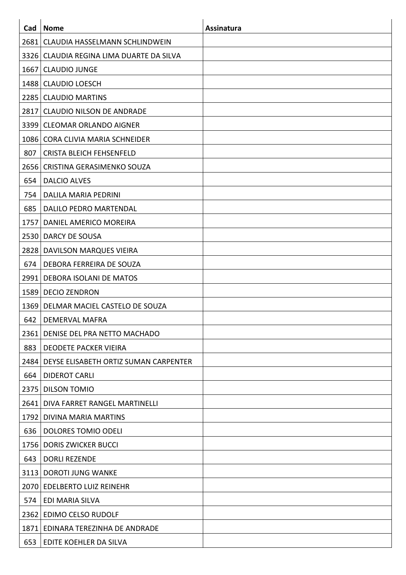| Cad  | <b>Nome</b>                                | <b>Assinatura</b> |
|------|--------------------------------------------|-------------------|
| 2681 | CLAUDIA HASSELMANN SCHLINDWEIN             |                   |
|      | 3326   CLAUDIA REGINA LIMA DUARTE DA SILVA |                   |
| 1667 | <b>CLAUDIO JUNGE</b>                       |                   |
| 1488 | <b>CLAUDIO LOESCH</b>                      |                   |
| 2285 | <b>CLAUDIO MARTINS</b>                     |                   |
| 2817 | <b>CLAUDIO NILSON DE ANDRADE</b>           |                   |
| 3399 | <b>CLEOMAR ORLANDO AIGNER</b>              |                   |
| 1086 | CORA CLIVIA MARIA SCHNEIDER                |                   |
| 807  | <b>CRISTA BLEICH FEHSENFELD</b>            |                   |
| 2656 | CRISTINA GERASIMENKO SOUZA                 |                   |
| 654  | <b>DALCIO ALVES</b>                        |                   |
| 754  | DALILA MARIA PEDRINI                       |                   |
| 685  | DALILO PEDRO MARTENDAL                     |                   |
| 1757 | DANIEL AMERICO MOREIRA                     |                   |
| 2530 | DARCY DE SOUSA                             |                   |
| 2828 | DAVILSON MARQUES VIEIRA                    |                   |
| 674  | DEBORA FERREIRA DE SOUZA                   |                   |
| 2991 | DEBORA ISOLANI DE MATOS                    |                   |
| 1589 | <b>DECIO ZENDRON</b>                       |                   |
| 1369 | DELMAR MACIEL CASTELO DE SOUZA             |                   |
| 642  | DEMERVAL MAFRA                             |                   |
| 2361 | DENISE DEL PRA NETTO MACHADO               |                   |
| 883  | DEODETE PACKER VIEIRA                      |                   |
| 2484 | DEYSE ELISABETH ORTIZ SUMAN CARPENTER      |                   |
| 664  | <b>DIDEROT CARLI</b>                       |                   |
| 2375 | DILSON TOMIO                               |                   |
| 2641 | DIVA FARRET RANGEL MARTINELLI              |                   |
| 1792 | <b>DIVINA MARIA MARTINS</b>                |                   |
| 636  | <b>DOLORES TOMIO ODELI</b>                 |                   |
| 1756 | <b>DORIS ZWICKER BUCCI</b>                 |                   |
| 643  | <b>DORLI REZENDE</b>                       |                   |
| 3113 | <b>DOROTI JUNG WANKE</b>                   |                   |
| 2070 | <b>EDELBERTO LUIZ REINEHR</b>              |                   |
| 574  | EDI MARIA SILVA                            |                   |
| 2362 | EDIMO CELSO RUDOLF                         |                   |
| 1871 | EDINARA TEREZINHA DE ANDRADE               |                   |
| 653  | EDITE KOEHLER DA SILVA                     |                   |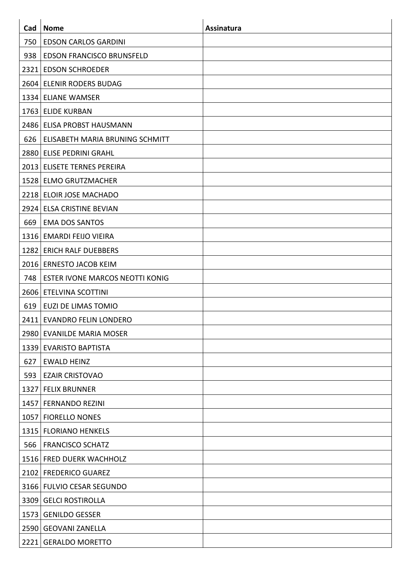| Cad  | <b>Nome</b>                      | Assinatura |
|------|----------------------------------|------------|
| 750  | <b>EDSON CARLOS GARDINI</b>      |            |
| 938  | <b>EDSON FRANCISCO BRUNSFELD</b> |            |
| 2321 | <b>EDSON SCHROEDER</b>           |            |
| 2604 | <b>ELENIR RODERS BUDAG</b>       |            |
| 1334 | <b>ELIANE WAMSER</b>             |            |
| 1763 | <b>ELIDE KURBAN</b>              |            |
|      | 2486 ELISA PROBST HAUSMANN       |            |
| 626  | ELISABETH MARIA BRUNING SCHMITT  |            |
| 2880 | <b>ELISE PEDRINI GRAHL</b>       |            |
| 2013 | <b>ELISETE TERNES PEREIRA</b>    |            |
|      | 1528 ELMO GRUTZMACHER            |            |
| 2218 | ELOIR JOSE MACHADO               |            |
| 2924 | <b>ELSA CRISTINE BEVIAN</b>      |            |
| 669  | <b>EMA DOS SANTOS</b>            |            |
| 1316 | <b>EMARDI FEIJO VIEIRA</b>       |            |
| 1282 | <b>ERICH RALF DUEBBERS</b>       |            |
| 2016 | <b>ERNESTO JACOB KEIM</b>        |            |
| 748  | ESTER IVONE MARCOS NEOTTI KONIG  |            |
| 2606 | ETELVINA SCOTTINI                |            |
| 619  | <b>EUZI DE LIMAS TOMIO</b>       |            |
|      | 2411 EVANDRO FELIN LONDERO       |            |
|      | 2980 EVANILDE MARIA MOSER        |            |
| 1339 | <b>EVARISTO BAPTISTA</b>         |            |
| 627  | <b>EWALD HEINZ</b>               |            |
| 593  | <b>EZAIR CRISTOVAO</b>           |            |
| 1327 | <b>FELIX BRUNNER</b>             |            |
| 1457 | <b>FERNANDO REZINI</b>           |            |
| 1057 | <b>FIORELLO NONES</b>            |            |
| 1315 | <b>FLORIANO HENKELS</b>          |            |
| 566  | <b>FRANCISCO SCHATZ</b>          |            |
|      | 1516 FRED DUERK WACHHOLZ         |            |
| 2102 | <b>FREDERICO GUAREZ</b>          |            |
|      | 3166 FULVIO CESAR SEGUNDO        |            |
| 3309 | <b>GELCI ROSTIROLLA</b>          |            |
| 1573 | <b>GENILDO GESSER</b>            |            |
| 2590 | <b>GEOVANI ZANELLA</b>           |            |
| 2221 | <b>GERALDO MORETTO</b>           |            |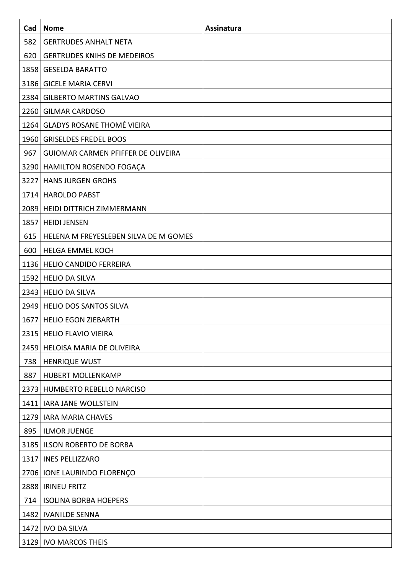| Cad  | <b>Nome</b>                               | <b>Assinatura</b> |
|------|-------------------------------------------|-------------------|
| 582  | <b>GERTRUDES ANHALT NETA</b>              |                   |
| 620  | <b>GERTRUDES KNIHS DE MEDEIROS</b>        |                   |
| 1858 | <b>GESELDA BARATTO</b>                    |                   |
| 3186 | <b>GICELE MARIA CERVI</b>                 |                   |
| 2384 | <b>GILBERTO MARTINS GALVAO</b>            |                   |
| 2260 | <b>GILMAR CARDOSO</b>                     |                   |
| 1264 | <b>GLADYS ROSANE THOMÉ VIEIRA</b>         |                   |
| 1960 | <b>GRISELDES FREDEL BOOS</b>              |                   |
| 967  | <b>GUIOMAR CARMEN PFIFFER DE OLIVEIRA</b> |                   |
|      | 3290 HAMILTON ROSENDO FOGAÇA              |                   |
| 3227 | <b>HANS JURGEN GROHS</b>                  |                   |
| 1714 | <b>HAROLDO PABST</b>                      |                   |
| 2089 | <b>HEIDI DITTRICH ZIMMERMANN</b>          |                   |
| 1857 | <b>HEIDI JENSEN</b>                       |                   |
| 615  | HELENA M FREYESLEBEN SILVA DE M GOMES     |                   |
| 600  | <b>HELGA EMMEL KOCH</b>                   |                   |
| 1136 | <b>HELIO CANDIDO FERREIRA</b>             |                   |
| 1592 | <b>HELIO DA SILVA</b>                     |                   |
| 2343 | <b>HELIO DA SILVA</b>                     |                   |
|      | 2949 HELIO DOS SANTOS SILVA               |                   |
|      | 1677   HELIO EGON ZIEBARTH                |                   |
| 2315 | <b>HELIO FLAVIO VIEIRA</b>                |                   |
| 2459 | HELOISA MARIA DE OLIVEIRA                 |                   |
| 738  | <b>HENRIQUE WUST</b>                      |                   |
| 887  | <b>HUBERT MOLLENKAMP</b>                  |                   |
| 2373 | HUMBERTO REBELLO NARCISO                  |                   |
| 1411 | <b>IARA JANE WOLLSTEIN</b>                |                   |
| 1279 | <b>IARA MARIA CHAVES</b>                  |                   |
| 895  | <b>ILMOR JUENGE</b>                       |                   |
| 3185 | <b>ILSON ROBERTO DE BORBA</b>             |                   |
| 1317 | <b>INES PELLIZZARO</b>                    |                   |
| 2706 | IONE LAURINDO FLORENÇO                    |                   |
| 2888 | <b>IRINEU FRITZ</b>                       |                   |
| 714  | <b>ISOLINA BORBA HOEPERS</b>              |                   |
| 1482 | <b>IVANILDE SENNA</b>                     |                   |
|      | 1472   IVO DA SILVA                       |                   |
| 3129 | <b>IVO MARCOS THEIS</b>                   |                   |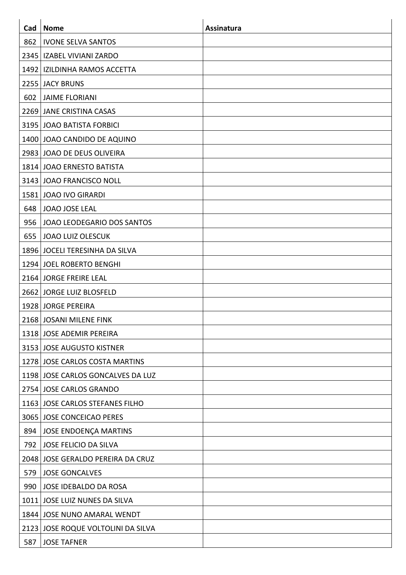| Cad  | <b>Nome</b>                       | <b>Assinatura</b> |
|------|-----------------------------------|-------------------|
| 862  | <b>IVONE SELVA SANTOS</b>         |                   |
| 2345 | <b>IZABEL VIVIANI ZARDO</b>       |                   |
| 1492 | IZILDINHA RAMOS ACCETTA           |                   |
| 2255 | <b>JACY BRUNS</b>                 |                   |
| 602  | <b>JAIME FLORIANI</b>             |                   |
|      | 2269 JANE CRISTINA CASAS          |                   |
| 3195 | JOAO BATISTA FORBICI              |                   |
|      | 1400 JOAO CANDIDO DE AQUINO       |                   |
| 2983 | JOAO DE DEUS OLIVEIRA             |                   |
|      | 1814 JOAO ERNESTO BATISTA         |                   |
|      | 3143 JOAO FRANCISCO NOLL          |                   |
| 1581 | JOAO IVO GIRARDI                  |                   |
| 648  | JOAO JOSE LEAL                    |                   |
| 956  | JOAO LEODEGARIO DOS SANTOS        |                   |
| 655  | <b>JOAO LUIZ OLESCUK</b>          |                   |
|      | 1896   JOCELI TERESINHA DA SILVA  |                   |
| 1294 | JOEL ROBERTO BENGHI               |                   |
|      | 2164   JORGE FREIRE LEAL          |                   |
| 2662 | JORGE LUIZ BLOSFELD               |                   |
|      | 1928 JORGE PEREIRA                |                   |
|      | 2168 JOSANI MILENE FINK           |                   |
|      | 1318 JOSE ADEMIR PEREIRA          |                   |
|      | 3153 JOSE AUGUSTO KISTNER         |                   |
|      | 1278 JOSE CARLOS COSTA MARTINS    |                   |
|      | 1198 JOSE CARLOS GONCALVES DA LUZ |                   |
|      | 2754 JOSE CARLOS GRANDO           |                   |
|      | 1163 JOSE CARLOS STEFANES FILHO   |                   |
| 3065 | JOSE CONCEICAO PERES              |                   |
| 894  | <b>JOSE ENDOENÇA MARTINS</b>      |                   |
| 792  | JOSE FELICIO DA SILVA             |                   |
|      | 2048 JOSE GERALDO PEREIRA DA CRUZ |                   |
| 579  | <b>JOSE GONCALVES</b>             |                   |
| 990  | JOSE IDEBALDO DA ROSA             |                   |
|      | 1011 JOSE LUIZ NUNES DA SILVA     |                   |
| 1844 | JOSE NUNO AMARAL WENDT            |                   |
| 2123 | JOSE ROQUE VOLTOLINI DA SILVA     |                   |
| 587  | <b>JOSE TAFNER</b>                |                   |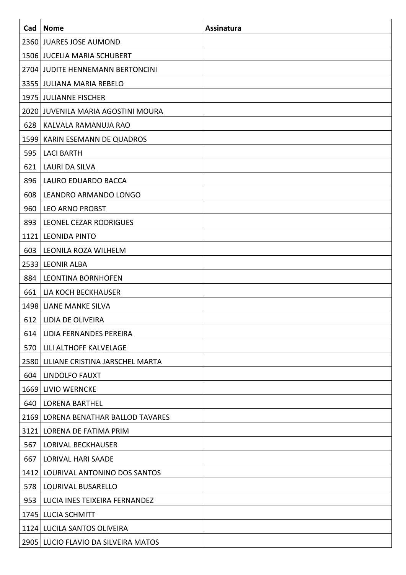| Cad  | <b>Nome</b>                        | <b>Assinatura</b> |
|------|------------------------------------|-------------------|
|      | 2360 JUARES JOSE AUMOND            |                   |
|      | 1506 JUCELIA MARIA SCHUBERT        |                   |
| 2704 | <b>JUDITE HENNEMANN BERTONCINI</b> |                   |
| 3355 | JULIANA MARIA REBELO               |                   |
|      | 1975 JULIANNE FISCHER              |                   |
| 2020 | JUVENILA MARIA AGOSTINI MOURA      |                   |
| 628  | KALVALA RAMANUJA RAO               |                   |
| 1599 | KARIN ESEMANN DE QUADROS           |                   |
| 595  | <b>LACI BARTH</b>                  |                   |
| 621  | <b>LAURI DA SILVA</b>              |                   |
| 896  | LAURO EDUARDO BACCA                |                   |
| 608  | LEANDRO ARMANDO LONGO              |                   |
| 960  | <b>LEO ARNO PROBST</b>             |                   |
| 893  | LEONEL CEZAR RODRIGUES             |                   |
| 1121 | <b>LEONIDA PINTO</b>               |                   |
| 603  | LEONILA ROZA WILHELM               |                   |
| 2533 | <b>LEONIR ALBA</b>                 |                   |
| 884  | <b>LEONTINA BORNHOFEN</b>          |                   |
| 661  | LIA KOCH BECKHAUSER                |                   |
| 1498 | <b>LIANE MANKE SILVA</b>           |                   |
| 612  | LIDIA DE OLIVEIRA                  |                   |
| 614  | LIDIA FERNANDES PEREIRA            |                   |
| 570  | LILI ALTHOFF KALVELAGE             |                   |
| 2580 | LILIANE CRISTINA JARSCHEL MARTA    |                   |
| 604  | <b>LINDOLFO FAUXT</b>              |                   |
| 1669 | <b>LIVIO WERNCKE</b>               |                   |
| 640  | <b>LORENA BARTHEL</b>              |                   |
| 2169 | LORENA BENATHAR BALLOD TAVARES     |                   |
| 3121 | LORENA DE FATIMA PRIM              |                   |
| 567  | <b>LORIVAL BECKHAUSER</b>          |                   |
| 667  | <b>LORIVAL HARI SAADE</b>          |                   |
| 1412 | LOURIVAL ANTONINO DOS SANTOS       |                   |
| 578  | LOURIVAL BUSARELLO                 |                   |
| 953  | LUCIA INES TEIXEIRA FERNANDEZ      |                   |
| 1745 | <b>LUCIA SCHMITT</b>               |                   |
| 1124 | LUCILA SANTOS OLIVEIRA             |                   |
| 2905 | LUCIO FLAVIO DA SILVEIRA MATOS     |                   |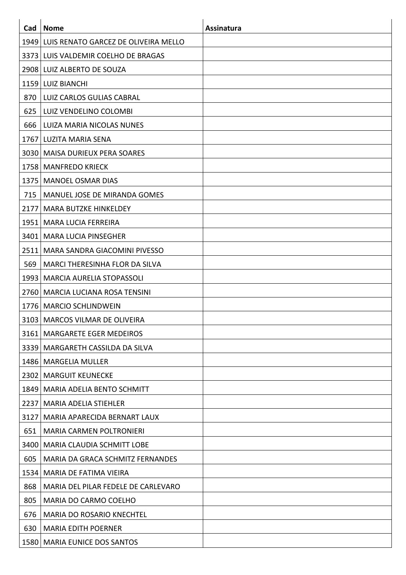| Cad   | <b>Nome</b>                               | Assinatura |
|-------|-------------------------------------------|------------|
|       | 1949 LUIS RENATO GARCEZ DE OLIVEIRA MELLO |            |
|       | 3373 LUIS VALDEMIR COELHO DE BRAGAS       |            |
|       | 2908   LUIZ ALBERTO DE SOUZA              |            |
|       | 1159   LUIZ BIANCHI                       |            |
| 870   | LUIZ CARLOS GULIAS CABRAL                 |            |
| 625   | LUIZ VENDELINO COLOMBI                    |            |
| 666   | LUIZA MARIA NICOLAS NUNES                 |            |
| 17671 | LUZITA MARIA SENA                         |            |
| 3030  | <b>MAISA DURIEUX PERA SOARES</b>          |            |
|       | 1758   MANFREDO KRIECK                    |            |
| 1375  | <b>MANOEL OSMAR DIAS</b>                  |            |
| 715   | MANUEL JOSE DE MIRANDA GOMES              |            |
| 2177  | <b>MARA BUTZKE HINKELDEY</b>              |            |
| 1951  | <b>MARA LUCIA FERREIRA</b>                |            |
| 3401  | <b>MARA LUCIA PINSEGHER</b>               |            |
| 2511  | MARA SANDRA GIACOMINI PIVESSO             |            |
| 569   | MARCI THERESINHA FLOR DA SILVA            |            |
| 1993  | <b>MARCIA AURELIA STOPASSOLI</b>          |            |
| 2760  | <b>MARCIA LUCIANA ROSA TENSINI</b>        |            |
|       | 1776   MARCIO SCHLINDWEIN                 |            |
|       | 3103   MARCOS VILMAR DE OLIVEIRA          |            |
| 3161  | <b>MARGARETE EGER MEDEIROS</b>            |            |
|       | 3339   MARGARETH CASSILDA DA SILVA        |            |
|       | 1486   MARGELIA MULLER                    |            |
|       | 2302   MARGUIT KEUNECKE                   |            |
|       | 1849   MARIA ADELIA BENTO SCHMITT         |            |
| 2237  | <b>MARIA ADELIA STIEHLER</b>              |            |
| 3127  | MARIA APARECIDA BERNART LAUX              |            |
| 651   | <b>MARIA CARMEN POLTRONIERI</b>           |            |
| 3400  | <b>MARIA CLAUDIA SCHMITT LOBE</b>         |            |
| 605   | MARIA DA GRACA SCHMITZ FERNANDES          |            |
| 1534  | <b>MARIA DE FATIMA VIEIRA</b>             |            |
| 868   | MARIA DEL PILAR FEDELE DE CARLEVARO       |            |
| 805   | MARIA DO CARMO COELHO                     |            |
| 676   | <b>MARIA DO ROSARIO KNECHTEL</b>          |            |
| 630   | <b>MARIA EDITH POERNER</b>                |            |
|       | 1580   MARIA EUNICE DOS SANTOS            |            |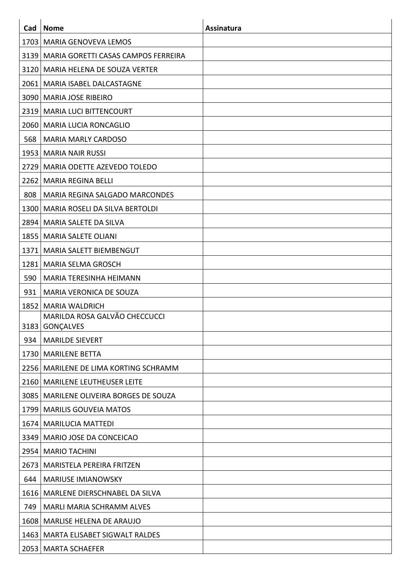| Cad  | <b>Nome</b>                                     | <b>Assinatura</b> |
|------|-------------------------------------------------|-------------------|
| 1703 | <b>MARIA GENOVEVA LEMOS</b>                     |                   |
|      | 3139   MARIA GORETTI CASAS CAMPOS FERREIRA      |                   |
| 3120 | MARIA HELENA DE SOUZA VERTER                    |                   |
| 2061 | MARIA ISABEL DALCASTAGNE                        |                   |
| 3090 | MARIA JOSE RIBEIRO                              |                   |
| 2319 | MARIA LUCI BITTENCOURT                          |                   |
| 2060 | MARIA LUCIA RONCAGLIO                           |                   |
| 568  | <b>MARIA MARLY CARDOSO</b>                      |                   |
| 1953 | <b>MARIA NAIR RUSSI</b>                         |                   |
| 2729 | MARIA ODETTE AZEVEDO TOLEDO                     |                   |
| 2262 | <b>MARIA REGINA BELLI</b>                       |                   |
| 808  | <b>MARIA REGINA SALGADO MARCONDES</b>           |                   |
| 1300 | MARIA ROSELI DA SILVA BERTOLDI                  |                   |
| 2894 | <b>MARIA SALETE DA SILVA</b>                    |                   |
| 1855 | <b>MARIA SALETE OLIANI</b>                      |                   |
| 1371 | MARIA SALETT BIEMBENGUT                         |                   |
| 1281 | <b>MARIA SELMA GROSCH</b>                       |                   |
| 590  | MARIA TERESINHA HEIMANN                         |                   |
| 931  | MARIA VERONICA DE SOUZA                         |                   |
| 1852 | MARIA WALDRICH                                  |                   |
|      | MARILDA ROSA GALVÃO CHECCUCCI<br>3183 GONÇALVES |                   |
| 934  | <b>MARILDE SIEVERT</b>                          |                   |
| 1730 | <b>MARILENE BETTA</b>                           |                   |
| 2256 | MARILENE DE LIMA KORTING SCHRAMM                |                   |
| 2160 | <b>MARILENE LEUTHEUSER LEITE</b>                |                   |
| 3085 | MARILENE OLIVEIRA BORGES DE SOUZA               |                   |
| 1799 | <b>MARILIS GOUVEIA MATOS</b>                    |                   |
| 1674 | <b>MARILUCIA MATTEDI</b>                        |                   |
| 3349 | MARIO JOSE DA CONCEICAO                         |                   |
| 2954 | <b>MARIO TACHINI</b>                            |                   |
| 2673 | MARISTELA PEREIRA FRITZEN                       |                   |
| 644  | <b>MARIUSE IMIANOWSKY</b>                       |                   |
| 1616 | MARLENE DIERSCHNABEL DA SILVA                   |                   |
| 749  | MARLI MARIA SCHRAMM ALVES                       |                   |
| 1608 | <b>MARLISE HELENA DE ARAUJO</b>                 |                   |
| 1463 | MARTA ELISABET SIGWALT RALDES                   |                   |
| 2053 | MARTA SCHAEFER                                  |                   |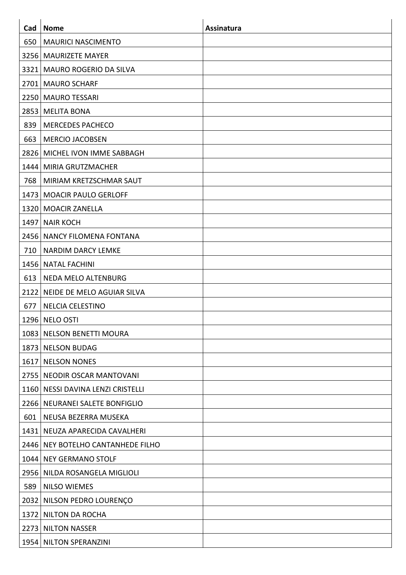| Cad  | <b>Nome</b>                         | <b>Assinatura</b> |
|------|-------------------------------------|-------------------|
| 650  | <b>MAURICI NASCIMENTO</b>           |                   |
|      | 3256   MAURIZETE MAYER              |                   |
|      | 3321   MAURO ROGERIO DA SILVA       |                   |
| 2701 | <b>MAURO SCHARF</b>                 |                   |
|      | 2250   MAURO TESSARI                |                   |
| 2853 | <b>MELITA BONA</b>                  |                   |
| 839  | <b>MERCEDES PACHECO</b>             |                   |
| 663  | <b>MERCIO JACOBSEN</b>              |                   |
| 2826 | MICHEL IVON IMME SABBAGH            |                   |
| 1444 | MIRIA GRUTZMACHER                   |                   |
| 768  | MIRIAM KRETZSCHMAR SAUT             |                   |
| 1473 | <b>MOACIR PAULO GERLOFF</b>         |                   |
|      | 1320   MOACIR ZANELLA               |                   |
| 1497 | <b>NAIR KOCH</b>                    |                   |
|      | 2456   NANCY FILOMENA FONTANA       |                   |
| 710  | <b>NARDIM DARCY LEMKE</b>           |                   |
| 1456 | <b>NATAL FACHINI</b>                |                   |
| 613  | NEDA MELO ALTENBURG                 |                   |
| 2122 | NEIDE DE MELO AGUIAR SILVA          |                   |
| 677  | <b>NELCIA CELESTINO</b>             |                   |
|      | 1296 NELO OSTI                      |                   |
|      | 1083   NELSON BENETTI MOURA         |                   |
|      | 1873 NELSON BUDAG                   |                   |
| 1617 | <b>NELSON NONES</b>                 |                   |
|      | 2755   NEODIR OSCAR MANTOVANI       |                   |
|      | 1160   NESSI DAVINA LENZI CRISTELLI |                   |
|      | 2266   NEURANEI SALETE BONFIGLIO    |                   |
| 601  | NEUSA BEZERRA MUSEKA                |                   |
| 1431 | NEUZA APARECIDA CAVALHERI           |                   |
|      | 2446 NEY BOTELHO CANTANHEDE FILHO   |                   |
|      | 1044 NEY GERMANO STOLF              |                   |
| 2956 | NILDA ROSANGELA MIGLIOLI            |                   |
| 589  | <b>NILSO WIEMES</b>                 |                   |
| 2032 | NILSON PEDRO LOURENÇO               |                   |
| 1372 | <b>NILTON DA ROCHA</b>              |                   |
|      | 2273 NILTON NASSER                  |                   |
|      | 1954 NILTON SPERANZINI              |                   |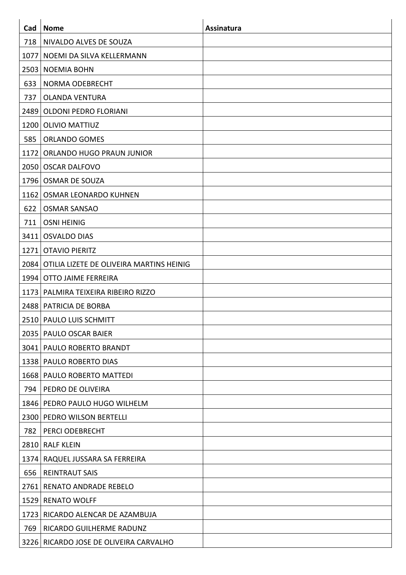| Cad  | <b>Nome</b>                              | Assinatura |
|------|------------------------------------------|------------|
| 718  | NIVALDO ALVES DE SOUZA                   |            |
| 1077 | NOEMI DA SILVA KELLERMANN                |            |
| 2503 | <b>NOEMIA BOHN</b>                       |            |
| 633  | NORMA ODEBRECHT                          |            |
| 737  | <b>OLANDA VENTURA</b>                    |            |
| 2489 | <b>OLDONI PEDRO FLORIANI</b>             |            |
| 1200 | <b>OLIVIO MATTIUZ</b>                    |            |
| 585  | <b>ORLANDO GOMES</b>                     |            |
| 1172 | ORLANDO HUGO PRAUN JUNIOR                |            |
| 2050 | <b>OSCAR DALFOVO</b>                     |            |
| 1796 | <b>OSMAR DE SOUZA</b>                    |            |
| 1162 | OSMAR LEONARDO KUHNEN                    |            |
| 622  | <b>OSMAR SANSAO</b>                      |            |
| 711  | <b>OSNI HEINIG</b>                       |            |
| 3411 | <b>OSVALDO DIAS</b>                      |            |
| 1271 | <b>OTAVIO PIERITZ</b>                    |            |
| 2084 | OTILIA LIZETE DE OLIVEIRA MARTINS HEINIG |            |
| 1994 | <b>OTTO JAIME FERREIRA</b>               |            |
| 1173 | PALMIRA TEIXEIRA RIBEIRO RIZZO           |            |
| 2488 | PATRICIA DE BORBA                        |            |
|      | 2510   PAULO LUIS SCHMITT                |            |
| 2035 | <b>PAULO OSCAR BAIER</b>                 |            |
| 3041 | <b>PAULO ROBERTO BRANDT</b>              |            |
|      | 1338   PAULO ROBERTO DIAS                |            |
|      | 1668   PAULO ROBERTO MATTEDI             |            |
| 794  | PEDRO DE OLIVEIRA                        |            |
|      | 1846   PEDRO PAULO HUGO WILHELM          |            |
| 2300 | PEDRO WILSON BERTELLI                    |            |
| 782  | PERCI ODEBRECHT                          |            |
|      | 2810 RALF KLEIN                          |            |
| 1374 | RAQUEL JUSSARA SA FERREIRA               |            |
| 656  | <b>REINTRAUT SAIS</b>                    |            |
| 2761 | <b>RENATO ANDRADE REBELO</b>             |            |
| 1529 | <b>RENATO WOLFF</b>                      |            |
| 1723 | RICARDO ALENCAR DE AZAMBUJA              |            |
| 769  | RICARDO GUILHERME RADUNZ                 |            |
| 3226 | RICARDO JOSE DE OLIVEIRA CARVALHO        |            |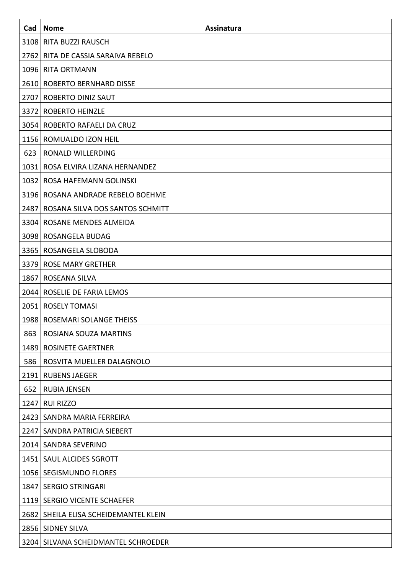| Cad  | <b>Nome</b>                      | <b>Assinatura</b> |
|------|----------------------------------|-------------------|
| 3108 | <b>RITA BUZZI RAUSCH</b>         |                   |
| 2762 | RITA DE CASSIA SARAIVA REBELO    |                   |
| 1096 | RITA ORTMANN                     |                   |
| 2610 | <b>ROBERTO BERNHARD DISSE</b>    |                   |
| 2707 | ROBERTO DINIZ SAUT               |                   |
| 3372 | <b>ROBERTO HEINZLE</b>           |                   |
| 3054 | <b>ROBERTO RAFAELI DA CRUZ</b>   |                   |
| 1156 | ROMUALDO IZON HEIL               |                   |
| 623  | RONALD WILLERDING                |                   |
| 1031 | ROSA ELVIRA LIZANA HERNANDEZ     |                   |
| 1032 | ROSA HAFEMANN GOLINSKI           |                   |
| 3196 | ROSANA ANDRADE REBELO BOEHME     |                   |
| 2487 | ROSANA SILVA DOS SANTOS SCHMITT  |                   |
| 3304 | ROSANE MENDES ALMEIDA            |                   |
| 3098 | <b>ROSANGELA BUDAG</b>           |                   |
| 3365 | ROSANGELA SLOBODA                |                   |
| 3379 | <b>ROSE MARY GRETHER</b>         |                   |
| 1867 | ROSEANA SILVA                    |                   |
| 2044 | ROSELIE DE FARIA LEMOS           |                   |
| 2051 | <b>ROSELY TOMASI</b>             |                   |
|      | 1988   ROSEMARI SOLANGE THEISS   |                   |
| 863  | ROSIANA SOUZA MARTINS            |                   |
| 1489 | <b>ROSINETE GAERTNER</b>         |                   |
| 586  | ROSVITA MUELLER DALAGNOLO        |                   |
| 2191 | <b>RUBENS JAEGER</b>             |                   |
| 652  | <b>RUBIA JENSEN</b>              |                   |
| 1247 | <b>RUI RIZZO</b>                 |                   |
| 2423 | SANDRA MARIA FERREIRA            |                   |
| 2247 | SANDRA PATRICIA SIEBERT          |                   |
|      | 2014   SANDRA SEVERINO           |                   |
|      | 1451   SAUL ALCIDES SGROTT       |                   |
|      | 1056   SEGISMUNDO FLORES         |                   |
| 1847 | <b>SERGIO STRINGARI</b>          |                   |
|      | 1119   SERGIO VICENTE SCHAEFER   |                   |
| 2682 | SHEILA ELISA SCHEIDEMANTEL KLEIN |                   |
|      | 2856 SIDNEY SILVA                |                   |
| 3204 | SILVANA SCHEIDMANTEL SCHROEDER   |                   |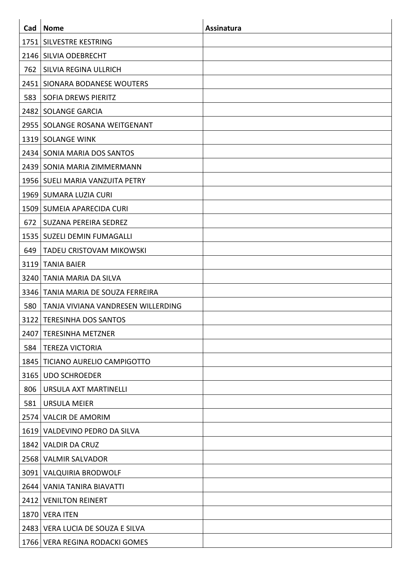| Cad  | <b>Nome</b>                        | <b>Assinatura</b> |
|------|------------------------------------|-------------------|
| 1751 | SILVESTRE KESTRING                 |                   |
| 2146 | <b>SILVIA ODEBRECHT</b>            |                   |
| 762  | SILVIA REGINA ULLRICH              |                   |
| 2451 | SIONARA BODANESE WOUTERS           |                   |
| 583  | <b>SOFIA DREWS PIERITZ</b>         |                   |
| 2482 | <b>SOLANGE GARCIA</b>              |                   |
| 2955 | SOLANGE ROSANA WEITGENANT          |                   |
| 1319 | <b>SOLANGE WINK</b>                |                   |
| 2434 | SONIA MARIA DOS SANTOS             |                   |
|      | 2439   SONIA MARIA ZIMMERMANN      |                   |
|      | 1956   SUELI MARIA VANZUITA PETRY  |                   |
| 1969 | <b>SUMARA LUZIA CURI</b>           |                   |
| 1509 | SUMEIA APARECIDA CURI              |                   |
| 672  | SUZANA PEREIRA SEDREZ              |                   |
| 1535 | SUZELI DEMIN FUMAGALLI             |                   |
| 649  | TADEU CRISTOVAM MIKOWSKI           |                   |
| 3119 | <b>TANIA BAIER</b>                 |                   |
| 3240 | TANIA MARIA DA SILVA               |                   |
| 3346 | TANIA MARIA DE SOUZA FERREIRA      |                   |
| 580  | TANJA VIVIANA VANDRESEN WILLERDING |                   |
| 3122 | <b>TERESINHA DOS SANTOS</b>        |                   |
| 2407 | <b>TERESINHA METZNER</b>           |                   |
| 584  | <b>TEREZA VICTORIA</b>             |                   |
| 1845 | TICIANO AURELIO CAMPIGOTTO         |                   |
| 3165 | <b>UDO SCHROEDER</b>               |                   |
| 806  | URSULA AXT MARTINELLI              |                   |
| 581  | <b>URSULA MEIER</b>                |                   |
| 2574 | <b>VALCIR DE AMORIM</b>            |                   |
| 1619 | VALDEVINO PEDRO DA SILVA           |                   |
| 1842 | <b>VALDIR DA CRUZ</b>              |                   |
|      | 2568 VALMIR SALVADOR               |                   |
| 3091 | <b>VALQUIRIA BRODWOLF</b>          |                   |
| 2644 | VANIA TANIRA BIAVATTI              |                   |
| 2412 | <b>VENILTON REINERT</b>            |                   |
| 1870 | <b>VERA ITEN</b>                   |                   |
| 2483 | VERA LUCIA DE SOUZA E SILVA        |                   |
| 1766 | <b>VERA REGINA RODACKI GOMES</b>   |                   |